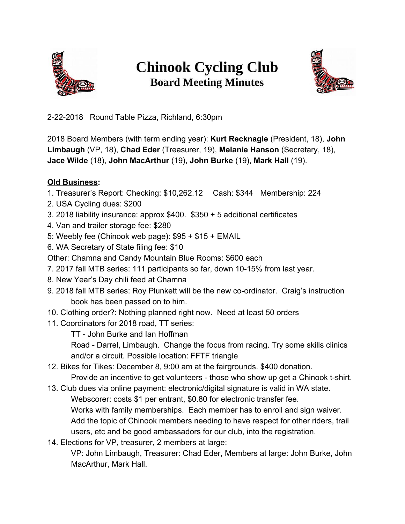

## **Chinook Cycling Club Board Meeting Minutes**



2-22-2018 Round Table Pizza, Richland, 6:30pm

2018 Board Members (with term ending year): **Kurt Recknagle** (President, 18), **John Limbaugh** (VP, 18), **Chad Eder** (Treasurer, 19), **Melanie Hanson** (Secretary, 18), **Jace Wilde** (18), **John MacArthur** (19), **John Burke** (19), **Mark Hall** (19).

## **Old Business:**

- 1. Treasurer's Report: Checking: \$10,262.12 Cash: \$344 Membership: 224
- 2. USA Cycling dues: \$200
- 3. 2018 liability insurance: approx \$400. \$350 + 5 additional certificates
- 4. Van and trailer storage fee: \$280
- 5: Weebly fee (Chinook web page): \$95 + \$15 + EMAIL
- 6. WA Secretary of State filing fee: \$10
- Other: Chamna and Candy Mountain Blue Rooms: \$600 each
- 7. 2017 fall MTB series: 111 participants so far, down 10-15% from last year.
- 8. New Year's Day chili feed at Chamna
- 9. 2018 fall MTB series: Roy Plunkett will be the new co-ordinator. Craig's instruction book has been passed on to him.
- 10. Clothing order?: Nothing planned right now. Need at least 50 orders
- 11. Coordinators for 2018 road, TT series:
	- TT John Burke and Ian Hoffman

Road - Darrel, Limbaugh. Change the focus from racing. Try some skills clinics and/or a circuit. Possible location: FFTF triangle

- 12. Bikes for Tikes: December 8, 9:00 am at the fairgrounds. \$400 donation. Provide an incentive to get volunteers - those who show up get a Chinook t-shirt.
- 13. Club dues via online payment: electronic/digital signature is valid in WA state. Webscorer: costs \$1 per entrant, \$0.80 for electronic transfer fee. Works with family memberships. Each member has to enroll and sign waiver. Add the topic of Chinook members needing to have respect for other riders, trail users, etc and be good ambassadors for our club, into the registration.
- 14. Elections for VP, treasurer, 2 members at large:

VP: John Limbaugh, Treasurer: Chad Eder, Members at large: John Burke, John MacArthur, Mark Hall.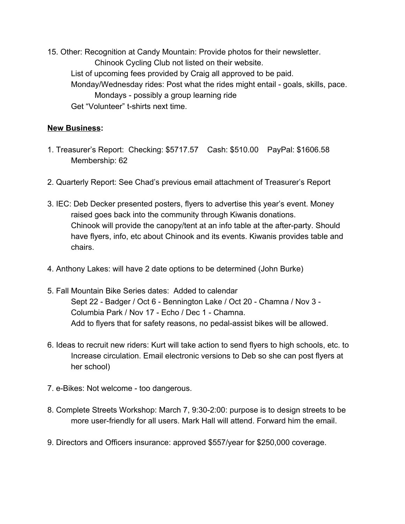15. Other: Recognition at Candy Mountain: Provide photos for their newsletter. Chinook Cycling Club not listed on their website. List of upcoming fees provided by Craig all approved to be paid. Monday/Wednesday rides: Post what the rides might entail - goals, skills, pace. Mondays - possibly a group learning ride Get "Volunteer" t-shirts next time.

## **New Business:**

- 1. Treasurer's Report: Checking: \$5717.57 Cash: \$510.00 PayPal: \$1606.58 Membership: 62
- 2. Quarterly Report: See Chad's previous email attachment of Treasurer's Report
- 3. IEC: Deb Decker presented posters, flyers to advertise this year's event. Money raised goes back into the community through Kiwanis donations. Chinook will provide the canopy/tent at an info table at the after-party. Should have flyers, info, etc about Chinook and its events. Kiwanis provides table and chairs.
- 4. Anthony Lakes: will have 2 date options to be determined (John Burke)
- 5. Fall Mountain Bike Series dates: Added to calendar Sept 22 - Badger / Oct 6 - Bennington Lake / Oct 20 - Chamna / Nov 3 - Columbia Park / Nov 17 - Echo / Dec 1 - Chamna. Add to flyers that for safety reasons, no pedal-assist bikes will be allowed.
- 6. Ideas to recruit new riders: Kurt will take action to send flyers to high schools, etc. to Increase circulation. Email electronic versions to Deb so she can post flyers at her school)
- 7. e-Bikes: Not welcome too dangerous.
- 8. Complete Streets Workshop: March 7, 9:30-2:00: purpose is to design streets to be more user-friendly for all users. Mark Hall will attend. Forward him the email.
- 9. Directors and Officers insurance: approved \$557/year for \$250,000 coverage.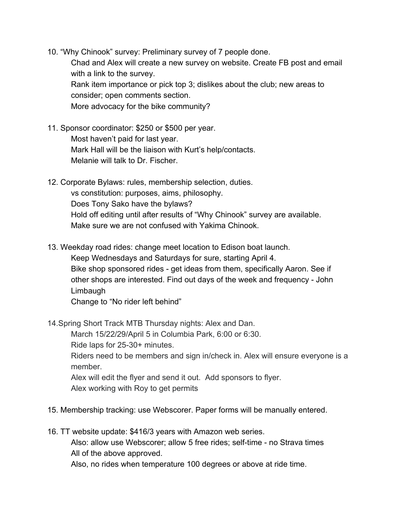10. "Why Chinook" survey: Preliminary survey of 7 people done. Chad and Alex will create a new survey on website. Create FB post and email with a link to the survey. Rank item importance or pick top 3; dislikes about the club; new areas to consider; open comments section. More advocacy for the bike community?

- 11. Sponsor coordinator: \$250 or \$500 per year. Most haven't paid for last year. Mark Hall will be the liaison with Kurt's help/contacts. Melanie will talk to Dr. Fischer.
- 12. Corporate Bylaws: rules, membership selection, duties. vs constitution: purposes, aims, philosophy. Does Tony Sako have the bylaws? Hold off editing until after results of "Why Chinook" survey are available. Make sure we are not confused with Yakima Chinook.
- 13. Weekday road rides: change meet location to Edison boat launch.

Keep Wednesdays and Saturdays for sure, starting April 4.

Bike shop sponsored rides - get ideas from them, specifically Aaron. See if other shops are interested. Find out days of the week and frequency - John Limbaugh

Change to "No rider left behind"

14.Spring Short Track MTB Thursday nights: Alex and Dan.

March 15/22/29/April 5 in Columbia Park, 6:00 or 6:30.

Ride laps for 25-30+ minutes.

Riders need to be members and sign in/check in. Alex will ensure everyone is a member.

Alex will edit the flyer and send it out. Add sponsors to flyer.

Alex working with Roy to get permits

- 15. Membership tracking: use Webscorer. Paper forms will be manually entered.
- 16. TT website update: \$416/3 years with Amazon web series. Also: allow use Webscorer; allow 5 free rides; self-time - no Strava times All of the above approved.

Also, no rides when temperature 100 degrees or above at ride time.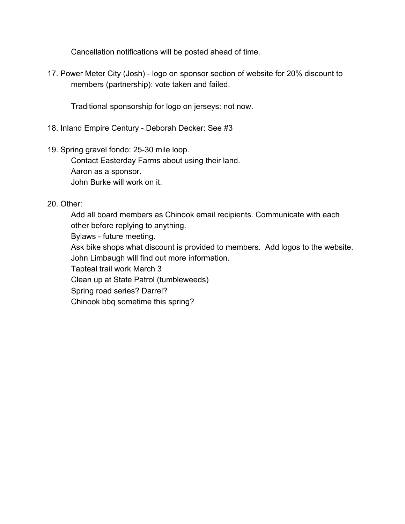Cancellation notifications will be posted ahead of time.

17. Power Meter City (Josh) - logo on sponsor section of website for 20% discount to members (partnership): vote taken and failed.

Traditional sponsorship for logo on jerseys: not now.

- 18. Inland Empire Century Deborah Decker: See #3
- 19. Spring gravel fondo: 25-30 mile loop.

Contact Easterday Farms about using their land. Aaron as a sponsor. John Burke will work on it.

20. Other:

Add all board members as Chinook email recipients. Communicate with each other before replying to anything. Bylaws - future meeting. Ask bike shops what discount is provided to members. Add logos to the website. John Limbaugh will find out more information. Tapteal trail work March 3 Clean up at State Patrol (tumbleweeds) Spring road series? Darrel? Chinook bbq sometime this spring?